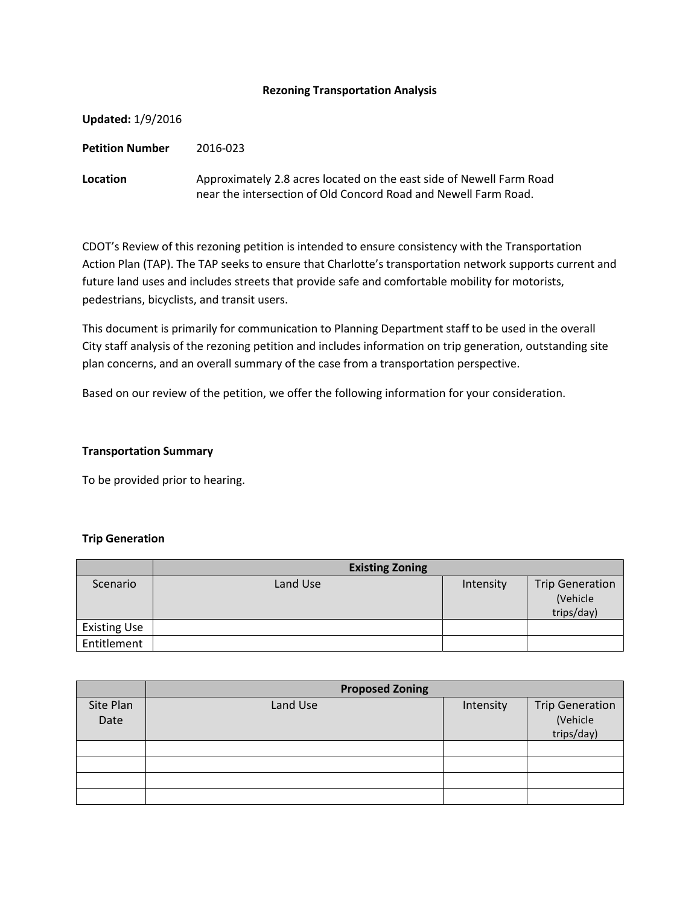### **Rezoning Transportation Analysis**

| <b>Updated: 1/9/2016</b> |                                                                                                                                         |
|--------------------------|-----------------------------------------------------------------------------------------------------------------------------------------|
| <b>Petition Number</b>   | 2016-023                                                                                                                                |
| Location                 | Approximately 2.8 acres located on the east side of Newell Farm Road<br>near the intersection of Old Concord Road and Newell Farm Road. |

CDOT's Review of this rezoning petition is intended to ensure consistency with the Transportation Action Plan (TAP). The TAP seeks to ensure that Charlotte's transportation network supports current and future land uses and includes streets that provide safe and comfortable mobility for motorists, pedestrians, bicyclists, and transit users.

This document is primarily for communication to Planning Department staff to be used in the overall City staff analysis of the rezoning petition and includes information on trip generation, outstanding site plan concerns, and an overall summary of the case from a transportation perspective.

Based on our review of the petition, we offer the following information for your consideration.

### **Transportation Summary**

To be provided prior to hearing.

#### **Trip Generation**

|                     | <b>Existing Zoning</b> |           |                                                  |
|---------------------|------------------------|-----------|--------------------------------------------------|
| Scenario            | Land Use               | Intensity | <b>Trip Generation</b><br>(Vehicle<br>trips/day) |
| <b>Existing Use</b> |                        |           |                                                  |
| Entitlement         |                        |           |                                                  |

|                   | <b>Proposed Zoning</b> |           |                                                  |  |
|-------------------|------------------------|-----------|--------------------------------------------------|--|
| Site Plan<br>Date | Land Use               | Intensity | <b>Trip Generation</b><br>(Vehicle<br>trips/day) |  |
|                   |                        |           |                                                  |  |
|                   |                        |           |                                                  |  |
|                   |                        |           |                                                  |  |
|                   |                        |           |                                                  |  |